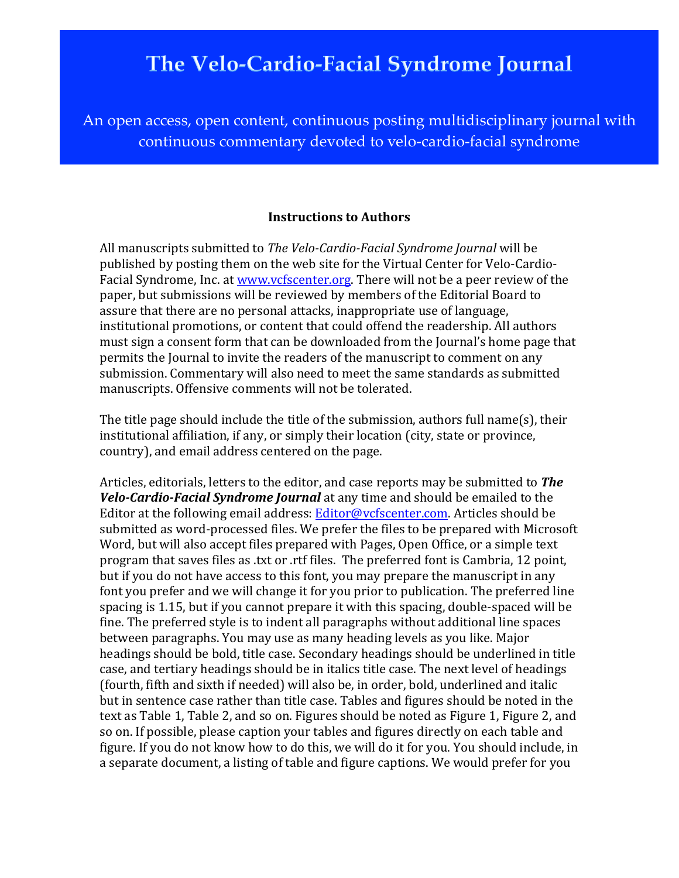## The Velo-Cardio-Facial Syndrome Journal

An open access, open content, continuous posting multidisciplinary journal with continuous commentary devoted to velo-cardio-facial syndrome

## **Instructions to Authors**

All manuscripts submitted to *The Velo-Cardio-Facial Syndrome Journal* will be published by posting them on the web site for the Virtual Center for Velo-Cardio-Facial Syndrome, Inc. at www.vcfscenter.org. There will not be a peer review of the paper, but submissions will be reviewed by members of the Editorial Board to assure that there are no personal attacks, inappropriate use of language, institutional promotions, or content that could offend the readership. All authors must sign a consent form that can be downloaded from the Journal's home page that permits the Journal to invite the readers of the manuscript to comment on any submission. Commentary will also need to meet the same standards as submitted manuscripts. Offensive comments will not be tolerated.

The title page should include the title of the submission, authors full name(s), their institutional affiliation, if any, or simply their location (city, state or province, country), and email address centered on the page.

Articles, editorials, letters to the editor, and case reports may be submitted to **The** *Velo-Cardio-Facial Syndrome Journal* at any time and should be emailed to the Editor at the following email address: Editor@vcfscenter.com. Articles should be submitted as word-processed files. We prefer the files to be prepared with Microsoft Word, but will also accept files prepared with Pages, Open Office, or a simple text program that saves files as .txt or .rtf files. The preferred font is Cambria, 12 point, but if you do not have access to this font, you may prepare the manuscript in any font you prefer and we will change it for you prior to publication. The preferred line spacing is 1.15, but if you cannot prepare it with this spacing, double-spaced will be fine. The preferred style is to indent all paragraphs without additional line spaces between paragraphs. You may use as many heading levels as you like. Major headings should be bold, title case. Secondary headings should be underlined in title case, and tertiary headings should be in italics title case. The next level of headings (fourth, fifth and sixth if needed) will also be, in order, bold, underlined and italic but in sentence case rather than title case. Tables and figures should be noted in the text as Table 1, Table 2, and so on. Figures should be noted as Figure 1, Figure 2, and so on. If possible, please caption your tables and figures directly on each table and figure. If you do not know how to do this, we will do it for you. You should include, in a separate document, a listing of table and figure captions. We would prefer for you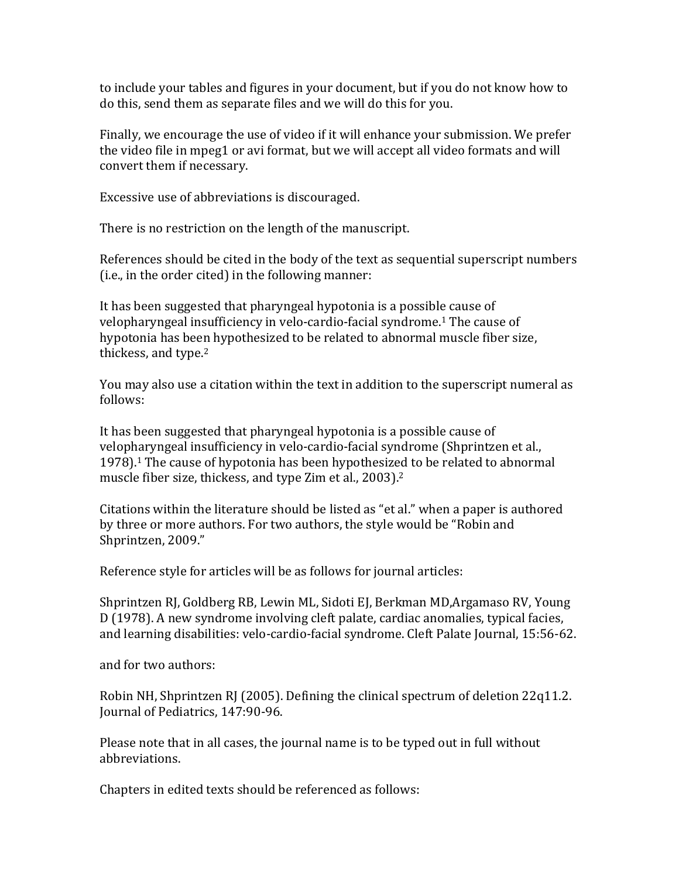to include your tables and figures in your document, but if you do not know how to do this, send them as separate files and we will do this for you.

Finally, we encourage the use of video if it will enhance your submission. We prefer the video file in mpeg1 or avi format, but we will accept all video formats and will convert them if necessary.

Excessive use of abbreviations is discouraged.

There is no restriction on the length of the manuscript.

References should be cited in the body of the text as sequential superscript numbers (i.e., in the order cited) in the following manner:

It has been suggested that pharyngeal hypotonia is a possible cause of velopharyngeal insufficiency in velo-cardio-facial syndrome.<sup>1</sup> The cause of hypotonia has been hypothesized to be related to abnormal muscle fiber size, thickess, and type. $2$ 

You may also use a citation within the text in addition to the superscript numeral as follows:

It has been suggested that pharyngeal hypotonia is a possible cause of velopharyngeal insufficiency in velo-cardio-facial syndrome (Shprintzen et al.,  $1978$ ).<sup>1</sup> The cause of hypotonia has been hypothesized to be related to abnormal muscle fiber size, thickess, and type  $Z$ im et al., 2003).<sup>2</sup>

Citations within the literature should be listed as "et al." when a paper is authored by three or more authors. For two authors, the style would be "Robin and Shprintzen, 2009."

Reference style for articles will be as follows for journal articles:

Shprintzen RJ, Goldberg RB, Lewin ML, Sidoti EJ, Berkman MD,Argamaso RV, Young D (1978). A new syndrome involving cleft palate, cardiac anomalies, typical facies, and learning disabilities: velo-cardio-facial syndrome. Cleft Palate Journal, 15:56-62.

and for two authors:

Robin NH, Shprintzen RJ (2005). Defining the clinical spectrum of deletion 22q11.2. Journal of Pediatrics, 147:90-96.

Please note that in all cases, the journal name is to be typed out in full without abbreviations.

Chapters in edited texts should be referenced as follows: